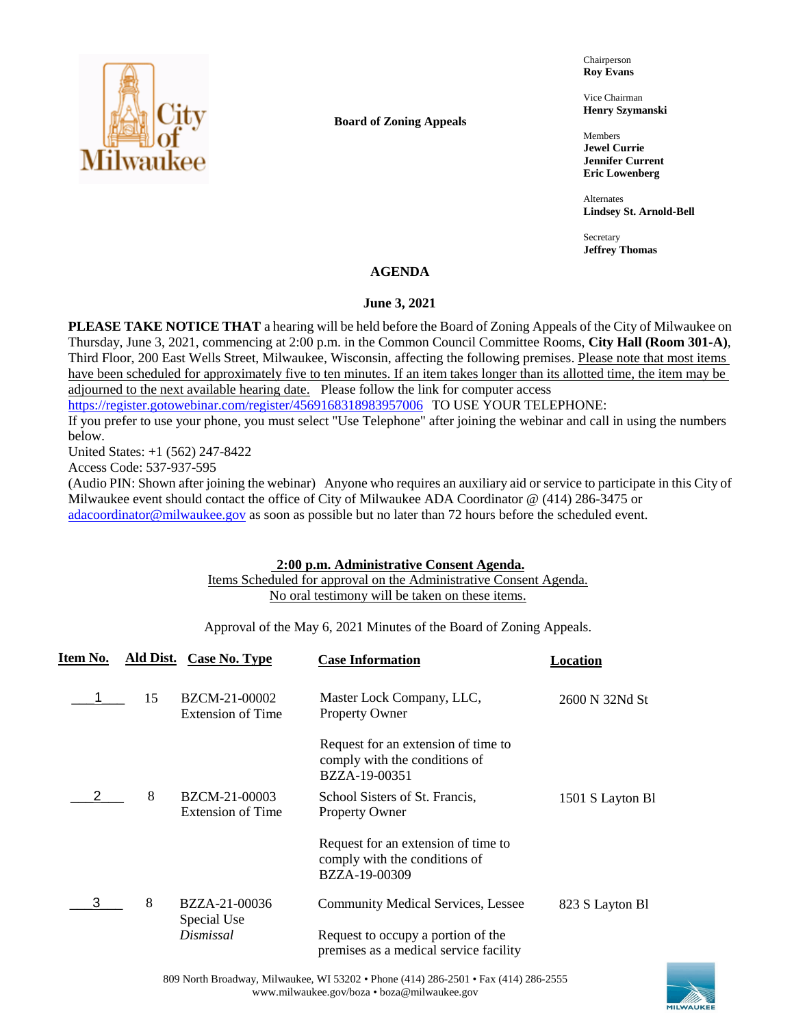

**Board of Zoning Appeals**

Chairperson **Roy Evans**

Vice Chairman **Henry Szymanski**

Members **Jewel Currie Jennifer Current Eric Lowenberg**

Alternates **Lindsey St. Arnold-Bell**

Secretary **Jeffrey Thomas**

# **AGENDA**

### **June 3, 2021**

**PLEASE TAKE NOTICE THAT** a hearing will be held before the Board of Zoning Appeals of the City of Milwaukee on Thursday, June 3, 2021, commencing at 2:00 p.m. in the Common Council Committee Rooms, **City Hall (Room 301-A)**, Third Floor, 200 East Wells Street, Milwaukee, Wisconsin, affecting the following premises. Please note that most items have been scheduled for approximately five to ten minutes. If an item takes longer than its allotted time, the item may be adjourned to the next available hearing date. Please follow the link for computer access

<https://register.gotowebinar.com/register/4569168318983957006> TO USE YOUR TELEPHONE:

If you prefer to use your phone, you must select "Use Telephone" after joining the webinar and call in using the numbers below.

United States: +1 (562) 247-8422

Access Code: 537-937-595

(Audio PIN: Shown after joining the webinar) Anyone who requires an auxiliary aid or service to participate in this City of Milwaukee event should contact the office of City of Milwaukee ADA Coordinator @ (414) 286-3475 or [adacoordinator@milwaukee.gov](mailto:adacoordinator@milwaukee.gov) as soon as possible but no later than 72 hours before the scheduled event.

### **2:00 p.m. Administrative Consent Agenda.**

Items Scheduled for approval on the Administrative Consent Agenda. No oral testimony will be taken on these items.

Approval of the May 6, 2021 Minutes of the Board of Zoning Appeals.

| Item No. |    | Ald Dist. Case No. Type                   | <b>Case Information</b>                                                               | Location         |
|----------|----|-------------------------------------------|---------------------------------------------------------------------------------------|------------------|
|          | 15 | BZCM-21-00002<br><b>Extension of Time</b> | Master Lock Company, LLC,<br><b>Property Owner</b>                                    | 2600 N 32Nd St   |
|          |    |                                           | Request for an extension of time to<br>comply with the conditions of<br>BZZA-19-00351 |                  |
|          | 8  | BZCM-21-00003<br><b>Extension of Time</b> | School Sisters of St. Francis,<br><b>Property Owner</b>                               | 1501 S Layton Bl |
|          |    |                                           | Request for an extension of time to<br>comply with the conditions of<br>BZZA-19-00309 |                  |
| 3        | 8  | BZZA-21-00036<br>Special Use              | <b>Community Medical Services, Lessee</b>                                             | 823 S Layton Bl  |
|          |    | Dismissal                                 | Request to occupy a portion of the<br>premises as a medical service facility          |                  |

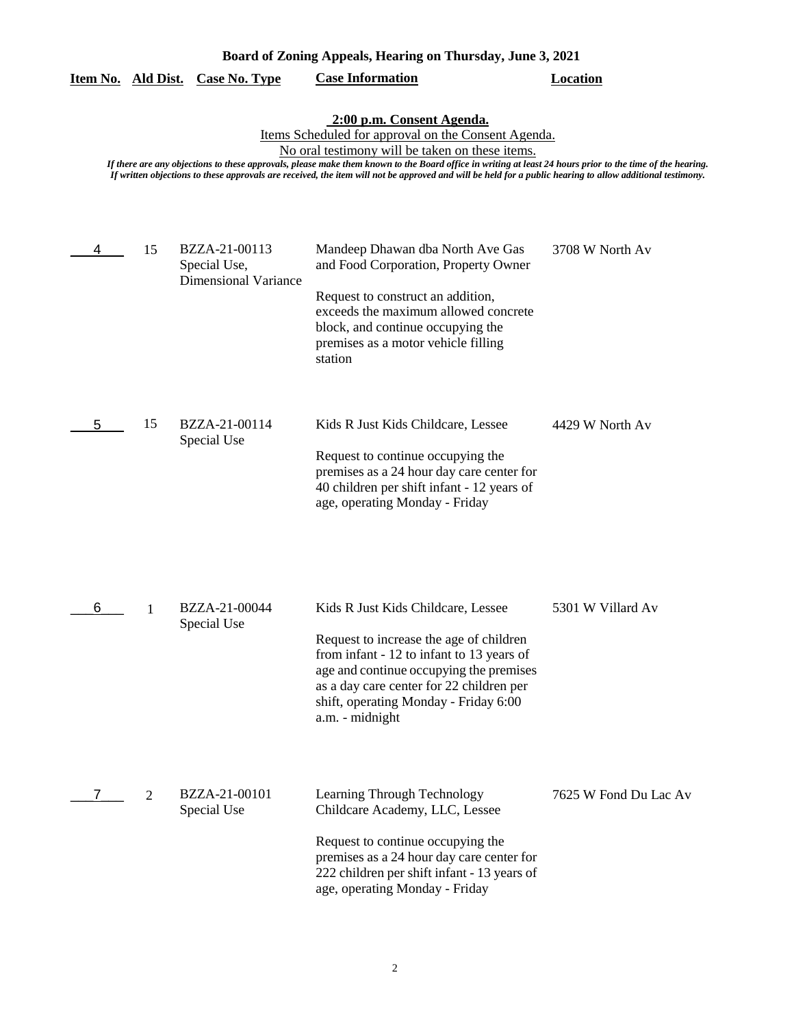| Board of Zoning Appeals, Hearing on Thursday, June 3, 2021 |  |  |  |  |
|------------------------------------------------------------|--|--|--|--|
|------------------------------------------------------------|--|--|--|--|

#### **Item No. Ald Dist. Case No. Type Case Information Location**

**2:00 p.m. Consent Agenda.**

Items Scheduled for approval on the Consent Agenda.

No oral testimony will be taken on these items.

*If there are any objections to these approvals, please make them known to the Board office in writing at least 24 hours prior to the time of the hearing. If written objections to these approvals are received, the item will not be approved and will be held for a public hearing to allow additional testimony.*

BZZA-21-00113 Mandeep Dhawan dba North Ave Gas 3708 W North Av and Food Corporation, Property Owner Request to construct an addition, exceeds the maximum allowed concrete block, and continue occupying the premises as a motor vehicle filling station Special Use, Dimensional Variance \_\_\_4\_\_\_ 15 BZZA-21-00114 Kids R Just Kids Childcare, Lessee 4429 W North Av Request to continue occupying the premises as a 24 hour day care center for 40 children per shift infant - 12 years of age, operating Monday - Friday Special Use  $5$  15

|  | BZZA-21-00044<br>Special Use | Kids R Just Kids Childcare, Lessee                                                                                                                                                                                                      | 5301 W Villard Av     |
|--|------------------------------|-----------------------------------------------------------------------------------------------------------------------------------------------------------------------------------------------------------------------------------------|-----------------------|
|  |                              | Request to increase the age of children<br>from infant - 12 to infant to 13 years of<br>age and continue occupying the premises<br>as a day care center for 22 children per<br>shift, operating Monday - Friday 6:00<br>a.m. - midnight |                       |
|  | BZZA-21-00101<br>Special Use | Learning Through Technology<br>Childcare Academy, LLC, Lessee                                                                                                                                                                           | 7625 W Fond Du Lac Av |
|  |                              | Request to continue occupying the<br>premises as a 24 hour day care center for<br>222 children per shift infant - 13 years of<br>age, operating Monday - Friday                                                                         |                       |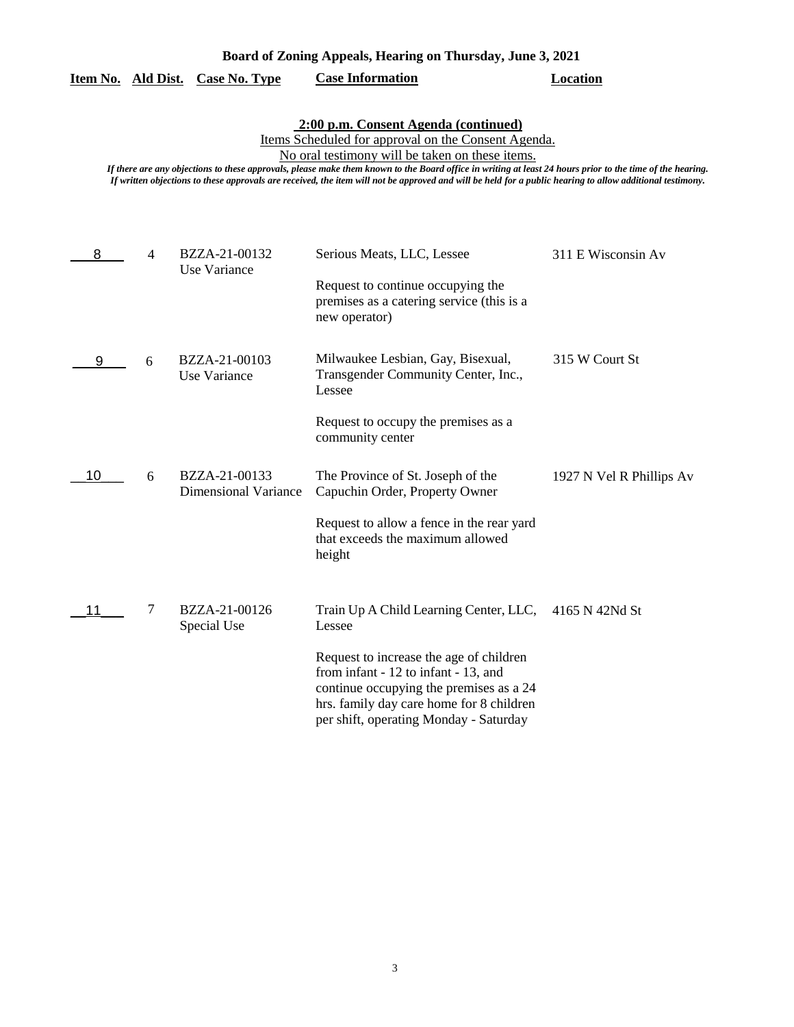| Board of Zoning Appeals, Hearing on Thursday, June 3, 2021 |  |  |  |  |
|------------------------------------------------------------|--|--|--|--|
|------------------------------------------------------------|--|--|--|--|

|  |  | Item No. Ald Dist. Case No. Type | <b>Case Information</b> |
|--|--|----------------------------------|-------------------------|
|--|--|----------------------------------|-------------------------|

**Location** 

## **2:00 p.m. Consent Agenda (continued)**

Items Scheduled for approval on the Consent Agenda.

No oral testimony will be taken on these items.

*If there are any objections to these approvals, please make them known to the Board office in writing at least 24 hours prior to the time of the hearing. If written objections to these approvals are received, the item will not be approved and will be held for a public hearing to allow additional testimony.*

| 8  | $\overline{4}$ | BZZA-21-00132<br>Use Variance                | Serious Meats, LLC, Lessee<br>Request to continue occupying the<br>premises as a catering service (this is a<br>new operator)                                                                                    | 311 E Wisconsin Av       |
|----|----------------|----------------------------------------------|------------------------------------------------------------------------------------------------------------------------------------------------------------------------------------------------------------------|--------------------------|
| 9  | 6              | BZZA-21-00103<br>Use Variance                | Milwaukee Lesbian, Gay, Bisexual,<br>Transgender Community Center, Inc.,<br>Lessee                                                                                                                               | 315 W Court St           |
|    |                |                                              | Request to occupy the premises as a<br>community center                                                                                                                                                          |                          |
| 10 | 6              | BZZA-21-00133<br><b>Dimensional Variance</b> | The Province of St. Joseph of the<br>Capuchin Order, Property Owner                                                                                                                                              | 1927 N Vel R Phillips Av |
|    |                |                                              | Request to allow a fence in the rear yard<br>that exceeds the maximum allowed<br>height                                                                                                                          |                          |
| 11 | 7              | BZZA-21-00126<br>Special Use                 | Train Up A Child Learning Center, LLC,<br>Lessee                                                                                                                                                                 | 4165 N 42Nd St           |
|    |                |                                              | Request to increase the age of children<br>from infant - 12 to infant - 13, and<br>continue occupying the premises as a 24<br>hrs. family day care home for 8 children<br>per shift, operating Monday - Saturday |                          |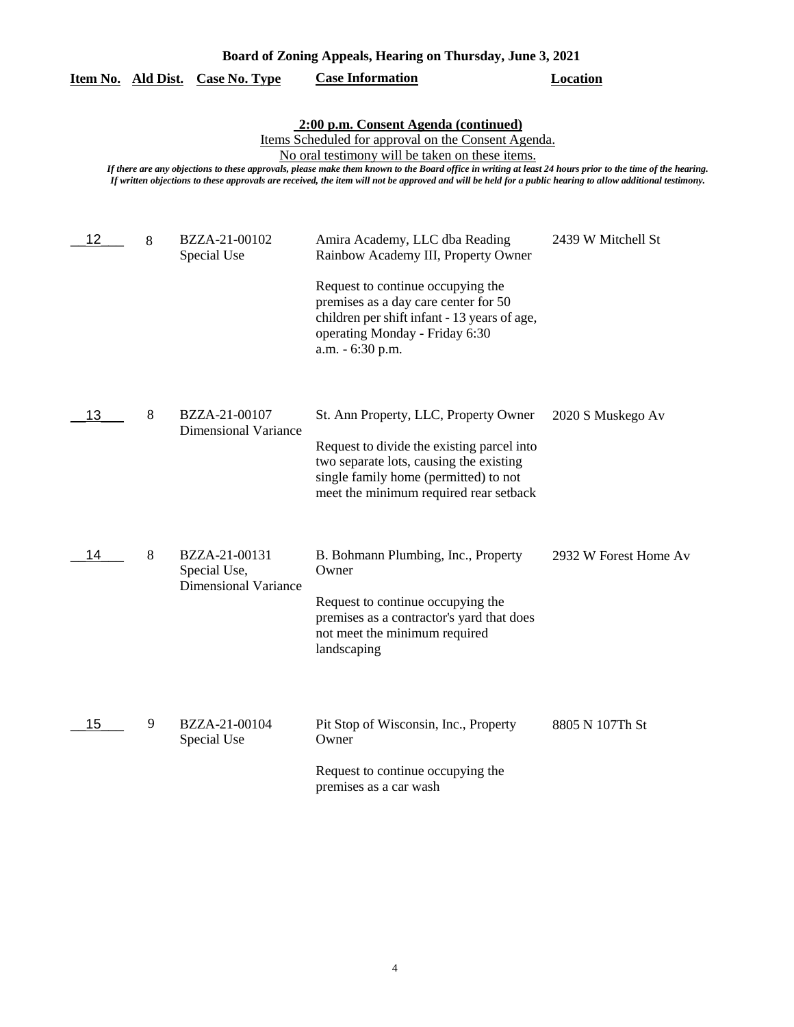| 2:00 p.m. Consent Agenda (continued)<br>Items Scheduled for approval on the Consent Agenda.<br>No oral testimony will be taken on these items.<br>If there are any objections to these approvals, please make them known to the Board office in writing at least 24 hours prior to the time of the hearing.<br>If written objections to these approvals are received, the item will not be approved and will be held for a public hearing to allow additional testimony. |   |                                                              |                                                                                                                                                                                                                                                          |                       |  |
|--------------------------------------------------------------------------------------------------------------------------------------------------------------------------------------------------------------------------------------------------------------------------------------------------------------------------------------------------------------------------------------------------------------------------------------------------------------------------|---|--------------------------------------------------------------|----------------------------------------------------------------------------------------------------------------------------------------------------------------------------------------------------------------------------------------------------------|-----------------------|--|
| 12                                                                                                                                                                                                                                                                                                                                                                                                                                                                       | 8 | BZZA-21-00102<br>Special Use                                 | Amira Academy, LLC dba Reading<br>Rainbow Academy III, Property Owner<br>Request to continue occupying the<br>premises as a day care center for 50<br>children per shift infant - 13 years of age,<br>operating Monday - Friday 6:30<br>a.m. - 6:30 p.m. | 2439 W Mitchell St    |  |
| 13                                                                                                                                                                                                                                                                                                                                                                                                                                                                       | 8 | BZZA-21-00107<br><b>Dimensional Variance</b>                 | St. Ann Property, LLC, Property Owner<br>Request to divide the existing parcel into<br>two separate lots, causing the existing<br>single family home (permitted) to not<br>meet the minimum required rear setback                                        | 2020 S Muskego Av     |  |
| 14                                                                                                                                                                                                                                                                                                                                                                                                                                                                       | 8 | BZZA-21-00131<br>Special Use,<br><b>Dimensional Variance</b> | B. Bohmann Plumbing, Inc., Property<br>Owner<br>Request to continue occupying the<br>premises as a contractor's yard that does<br>not meet the minimum required<br>landscaping                                                                           | 2932 W Forest Home Av |  |
| 15                                                                                                                                                                                                                                                                                                                                                                                                                                                                       | 9 | BZZA-21-00104<br>Special Use                                 | Pit Stop of Wisconsin, Inc., Property<br>Owner<br>Request to continue occupying the<br>premises as a car wash                                                                                                                                            | 8805 N 107Th St       |  |

**Item No. Ald Dist. Case No. Type Case Information Location**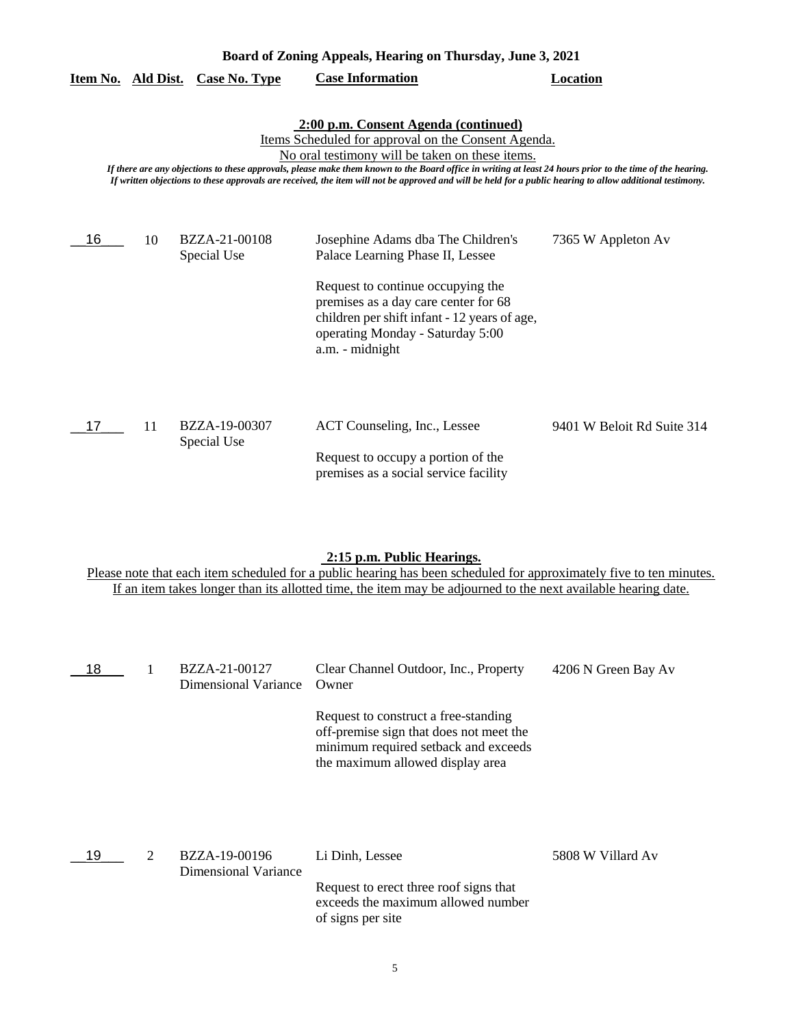| Board of Zoning Appeals, Hearing on Thursday, June 3, 2021                                                                                                                                                                                                                                                                                                                                                                                                               |    |                                         |                                                                                                                                                                                                                                                            |                            |
|--------------------------------------------------------------------------------------------------------------------------------------------------------------------------------------------------------------------------------------------------------------------------------------------------------------------------------------------------------------------------------------------------------------------------------------------------------------------------|----|-----------------------------------------|------------------------------------------------------------------------------------------------------------------------------------------------------------------------------------------------------------------------------------------------------------|----------------------------|
|                                                                                                                                                                                                                                                                                                                                                                                                                                                                          |    | <u>Item No. Ald Dist. Case No. Type</u> | <b>Case Information</b>                                                                                                                                                                                                                                    | <b>Location</b>            |
| 2:00 p.m. Consent Agenda (continued)<br>Items Scheduled for approval on the Consent Agenda.<br>No oral testimony will be taken on these items.<br>If there are any objections to these approvals, please make them known to the Board office in writing at least 24 hours prior to the time of the hearing.<br>If written objections to these approvals are received, the item will not be approved and will be held for a public hearing to allow additional testimony. |    |                                         |                                                                                                                                                                                                                                                            |                            |
| 16                                                                                                                                                                                                                                                                                                                                                                                                                                                                       | 10 | BZZA-21-00108<br>Special Use            | Josephine Adams dba The Children's<br>Palace Learning Phase II, Lessee<br>Request to continue occupying the<br>premises as a day care center for 68<br>children per shift infant - 12 years of age,<br>operating Monday - Saturday 5:00<br>a.m. - midnight | 7365 W Appleton Av         |
| 17                                                                                                                                                                                                                                                                                                                                                                                                                                                                       | 11 | BZZA-19-00307<br>Special Use            | ACT Counseling, Inc., Lessee<br>Request to occupy a portion of the<br>premises as a social service facility                                                                                                                                                | 9401 W Beloit Rd Suite 314 |

**2:15 p.m. Public Hearings.**

| 18 |   | BZZA-21-00127<br><b>Dimensional Variance</b> | Clear Channel Outdoor, Inc., Property<br>Owner                                                                                                              | 4206 N Green Bay Av |
|----|---|----------------------------------------------|-------------------------------------------------------------------------------------------------------------------------------------------------------------|---------------------|
|    |   |                                              | Request to construct a free-standing<br>off-premise sign that does not meet the<br>minimum required setback and exceeds<br>the maximum allowed display area |                     |
| 19 | 2 | BZZA-19-00196<br><b>Dimensional Variance</b> | Li Dinh, Lessee<br>Request to erect three roof signs that<br>exceeds the maximum allowed number<br>of signs per site                                        | 5808 W Villard Av   |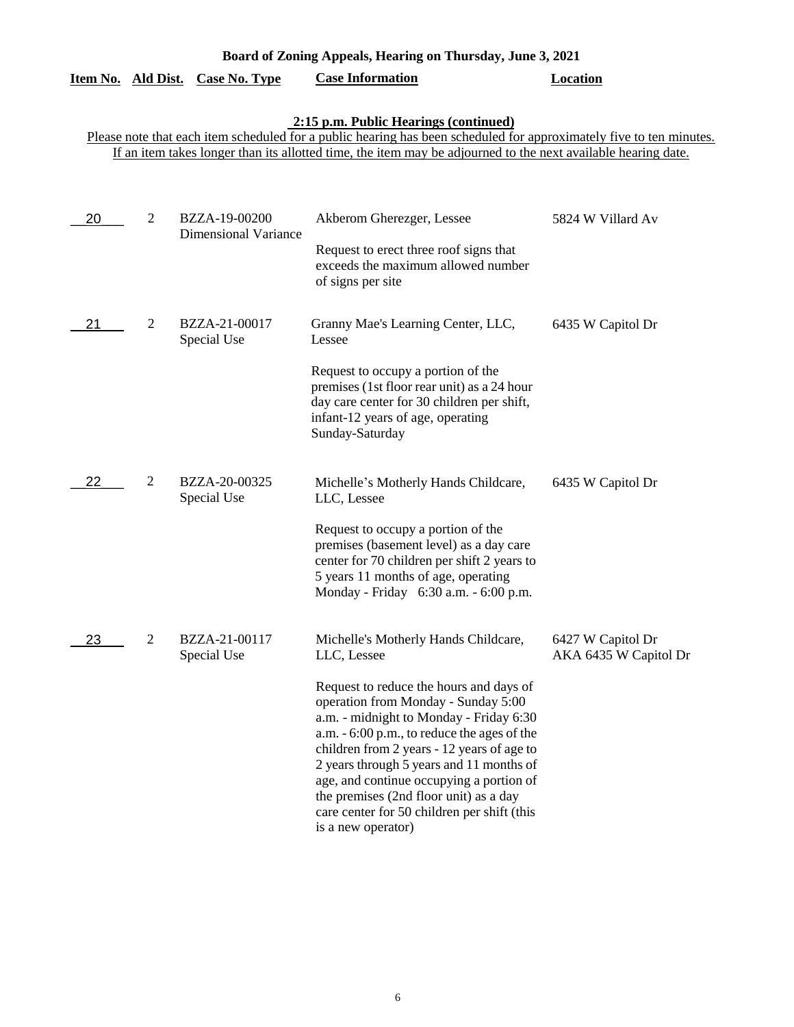|                                                                                                                                                                                                                                                                               |                | Item No. Ald Dist. Case No. Type             | <b>Case Information</b>                                                                                                                                                                                                                                                                                                                                                                                                                                                              | <b>Location</b>                            |  |
|-------------------------------------------------------------------------------------------------------------------------------------------------------------------------------------------------------------------------------------------------------------------------------|----------------|----------------------------------------------|--------------------------------------------------------------------------------------------------------------------------------------------------------------------------------------------------------------------------------------------------------------------------------------------------------------------------------------------------------------------------------------------------------------------------------------------------------------------------------------|--------------------------------------------|--|
| 2:15 p.m. Public Hearings (continued)<br>Please note that each item scheduled for a public hearing has been scheduled for approximately five to ten minutes.<br>If an item takes longer than its allotted time, the item may be adjourned to the next available hearing date. |                |                                              |                                                                                                                                                                                                                                                                                                                                                                                                                                                                                      |                                            |  |
| 20                                                                                                                                                                                                                                                                            | 2              | BZZA-19-00200<br><b>Dimensional Variance</b> | Akberom Gherezger, Lessee<br>Request to erect three roof signs that<br>exceeds the maximum allowed number<br>of signs per site                                                                                                                                                                                                                                                                                                                                                       | 5824 W Villard Av                          |  |
| 21                                                                                                                                                                                                                                                                            | $\overline{2}$ | BZZA-21-00017<br>Special Use                 | Granny Mae's Learning Center, LLC,<br>Lessee<br>Request to occupy a portion of the<br>premises (1st floor rear unit) as a 24 hour<br>day care center for 30 children per shift,<br>infant-12 years of age, operating<br>Sunday-Saturday                                                                                                                                                                                                                                              | 6435 W Capitol Dr                          |  |
| 22                                                                                                                                                                                                                                                                            | $\overline{2}$ | BZZA-20-00325<br>Special Use                 | Michelle's Motherly Hands Childcare,<br>LLC, Lessee<br>Request to occupy a portion of the<br>premises (basement level) as a day care<br>center for 70 children per shift 2 years to<br>5 years 11 months of age, operating<br>Monday - Friday 6:30 a.m. - 6:00 p.m.                                                                                                                                                                                                                  | 6435 W Capitol Dr                          |  |
| 23                                                                                                                                                                                                                                                                            | 2              | BZZA-21-00117<br>Special Use                 | Michelle's Motherly Hands Childcare,<br>LLC, Lessee<br>Request to reduce the hours and days of<br>operation from Monday - Sunday 5:00<br>a.m. - midnight to Monday - Friday 6:30<br>a.m. - 6:00 p.m., to reduce the ages of the<br>children from 2 years - 12 years of age to<br>2 years through 5 years and 11 months of<br>age, and continue occupying a portion of<br>the premises (2nd floor unit) as a day<br>care center for 50 children per shift (this<br>is a new operator) | 6427 W Capitol Dr<br>AKA 6435 W Capitol Dr |  |

**Board of Zoning Appeals, Hearing on Thursday, June 3, 2021**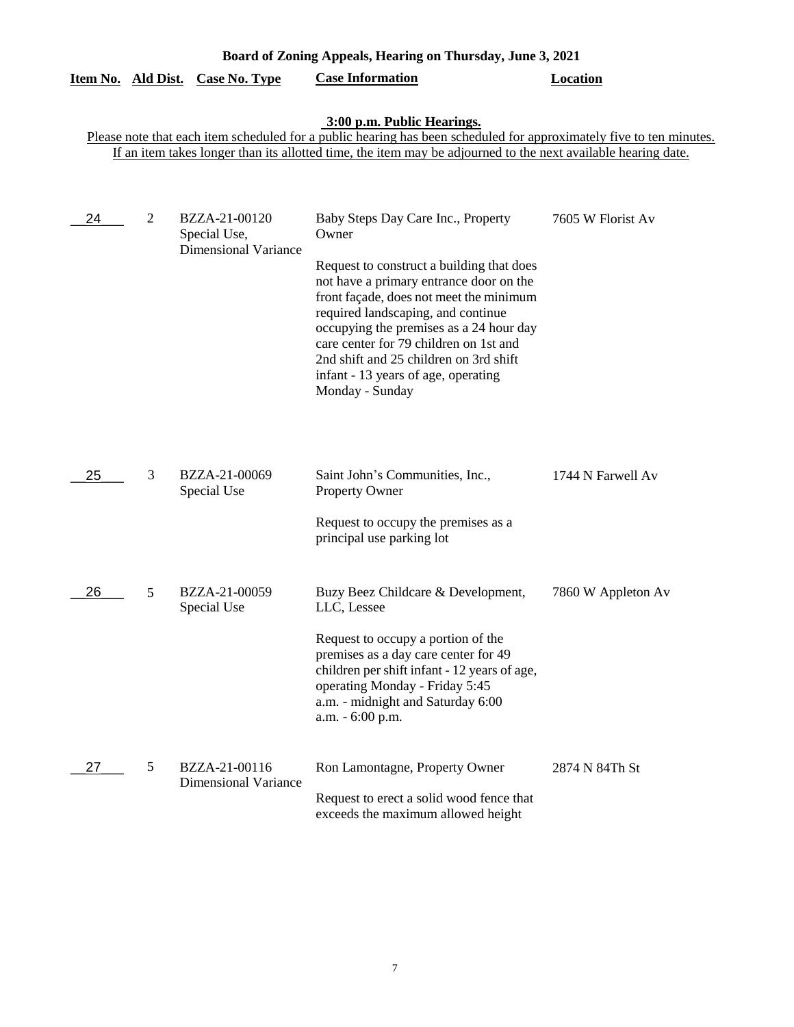|                           | Board of Zoning Appeals, Hearing on Thursday, June 3, 2021 |                                                              |                                                                                                                                                                                                                                                                                                                                                                                                               |                    |  |  |
|---------------------------|------------------------------------------------------------|--------------------------------------------------------------|---------------------------------------------------------------------------------------------------------------------------------------------------------------------------------------------------------------------------------------------------------------------------------------------------------------------------------------------------------------------------------------------------------------|--------------------|--|--|
| <u>Item No. Ald Dist.</u> |                                                            | <b>Case No. Type</b>                                         | <b>Case Information</b>                                                                                                                                                                                                                                                                                                                                                                                       | <b>Location</b>    |  |  |
|                           |                                                            |                                                              | 3:00 p.m. Public Hearings.<br>Please note that each item scheduled for a public hearing has been scheduled for approximately five to ten minutes.<br>If an item takes longer than its allotted time, the item may be adjourned to the next available hearing date.                                                                                                                                            |                    |  |  |
| 24                        | $\overline{2}$                                             | BZZA-21-00120<br>Special Use,<br><b>Dimensional Variance</b> | Baby Steps Day Care Inc., Property<br>Owner<br>Request to construct a building that does<br>not have a primary entrance door on the<br>front façade, does not meet the minimum<br>required landscaping, and continue<br>occupying the premises as a 24 hour day<br>care center for 79 children on 1st and<br>2nd shift and 25 children on 3rd shift<br>infant - 13 years of age, operating<br>Monday - Sunday | 7605 W Florist Av  |  |  |
| 25                        | 3                                                          | BZZA-21-00069<br>Special Use                                 | Saint John's Communities, Inc.,<br>Property Owner<br>Request to occupy the premises as a<br>principal use parking lot                                                                                                                                                                                                                                                                                         | 1744 N Farwell Av  |  |  |
| 26                        | 5                                                          | BZZA-21-00059<br>Special Use                                 | Buzy Beez Childcare & Development,<br>LLC, Lessee<br>Request to occupy a portion of the<br>premises as a day care center for 49<br>children per shift infant - 12 years of age,<br>operating Monday - Friday 5:45<br>a.m. - midnight and Saturday 6:00<br>a.m. - 6:00 p.m.                                                                                                                                    | 7860 W Appleton Av |  |  |
| 27                        | 5                                                          | BZZA-21-00116<br><b>Dimensional Variance</b>                 | Ron Lamontagne, Property Owner<br>Request to erect a solid wood fence that<br>exceeds the maximum allowed height                                                                                                                                                                                                                                                                                              | 2874 N 84Th St     |  |  |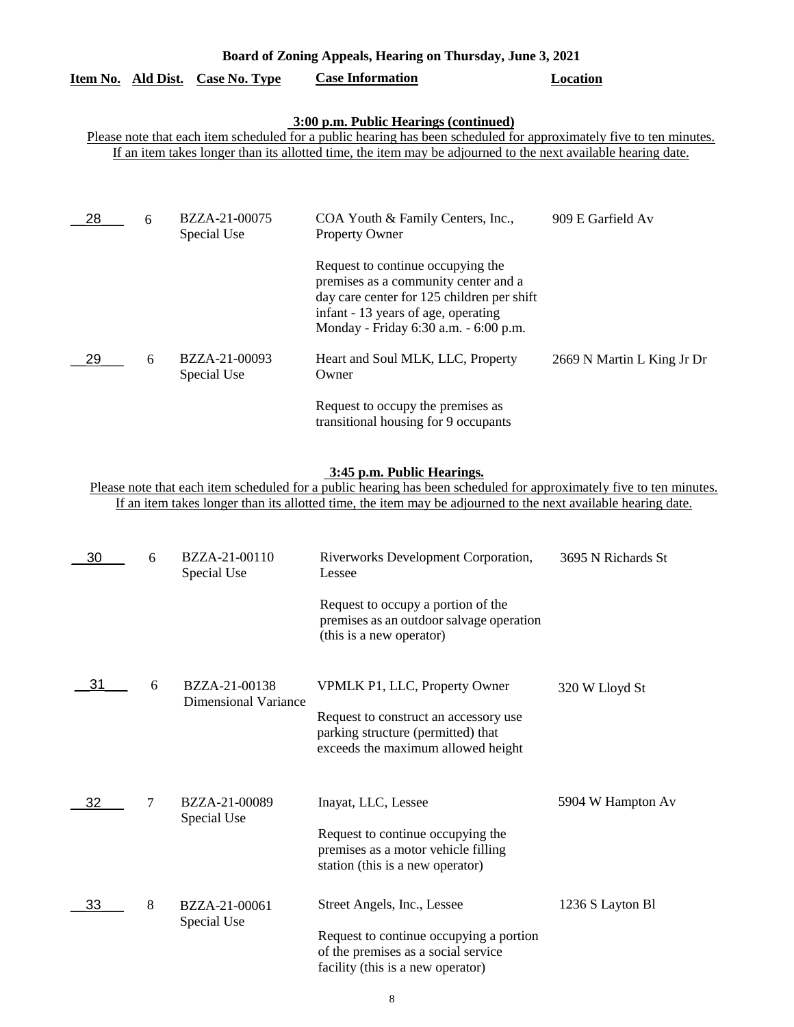| Board of Zoning Appeals, Hearing on Thursday, June 3, 2021                                                                                                                                                                                                                    |   |                              |                                                                                                                                                                                                         |                            |
|-------------------------------------------------------------------------------------------------------------------------------------------------------------------------------------------------------------------------------------------------------------------------------|---|------------------------------|---------------------------------------------------------------------------------------------------------------------------------------------------------------------------------------------------------|----------------------------|
| Item No. Ald Dist.                                                                                                                                                                                                                                                            |   | <b>Case No. Type</b>         | <b>Case Information</b>                                                                                                                                                                                 | <b>Location</b>            |
| 3:00 p.m. Public Hearings (continued)<br>Please note that each item scheduled for a public hearing has been scheduled for approximately five to ten minutes.<br>If an item takes longer than its allotted time, the item may be adjourned to the next available hearing date. |   |                              |                                                                                                                                                                                                         |                            |
| 28                                                                                                                                                                                                                                                                            | 6 | BZZA-21-00075<br>Special Use | COA Youth & Family Centers, Inc.,<br><b>Property Owner</b>                                                                                                                                              | 909 E Garfield Av          |
|                                                                                                                                                                                                                                                                               |   |                              | Request to continue occupying the<br>premises as a community center and a<br>day care center for 125 children per shift<br>infant - 13 years of age, operating<br>Monday - Friday 6:30 a.m. - 6:00 p.m. |                            |
| 29                                                                                                                                                                                                                                                                            | 6 | BZZA-21-00093<br>Special Use | Heart and Soul MLK, LLC, Property<br>Owner                                                                                                                                                              | 2669 N Martin L King Jr Dr |
|                                                                                                                                                                                                                                                                               |   |                              | Request to occupy the premises as<br>transitional housing for 9 occupants                                                                                                                               |                            |

### **3:45 p.m. Public Hearings.**

| 30 | 6 | BZZA-21-00110<br>Special Use                 | Riverworks Development Corporation,<br>Lessee                                                                                                      | 3695 N Richards St |
|----|---|----------------------------------------------|----------------------------------------------------------------------------------------------------------------------------------------------------|--------------------|
|    |   |                                              | Request to occupy a portion of the<br>premises as an outdoor salvage operation<br>(this is a new operator)                                         |                    |
| 31 | 6 | BZZA-21-00138<br><b>Dimensional Variance</b> | VPMLK P1, LLC, Property Owner<br>Request to construct an accessory use<br>parking structure (permitted) that<br>exceeds the maximum allowed height | 320 W Lloyd St     |
| 32 | 7 | BZZA-21-00089<br>Special Use                 | Inayat, LLC, Lessee<br>Request to continue occupying the<br>premises as a motor vehicle filling<br>station (this is a new operator)                | 5904 W Hampton Av  |
| 33 | 8 | BZZA-21-00061<br>Special Use                 | Street Angels, Inc., Lessee<br>Request to continue occupying a portion<br>of the premises as a social service<br>facility (this is a new operator) | 1236 S Layton Bl   |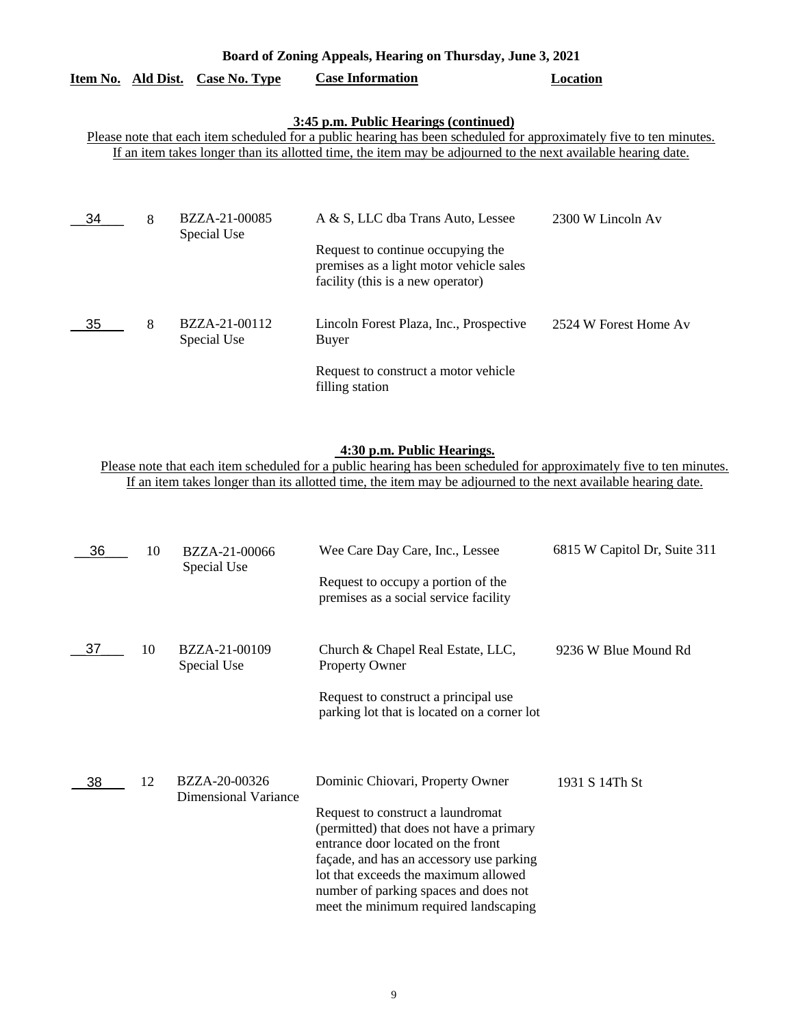|  | Item No. Ald Dist. Case No. Type | <b>Case Information</b> | <b>Location</b> |
|--|----------------------------------|-------------------------|-----------------|
|  |                                  |                         |                 |

## **3:45 p.m. Public Hearings (continued)**

Please note that each item scheduled for a public hearing has been scheduled for approximately five to ten minutes. If an item takes longer than its allotted time, the item may be adjourned to the next available hearing date.

| 34   | 8 | BZZA-21-00085<br>Special Use | A & S, LLC dba Trans Auto, Lessee                                                                                 | 2300 W Lincoln Av     |
|------|---|------------------------------|-------------------------------------------------------------------------------------------------------------------|-----------------------|
|      |   |                              | Request to continue occupying the<br>premises as a light motor vehicle sales<br>facility (this is a new operator) |                       |
| - 35 | 8 | BZZA-21-00112<br>Special Use | Lincoln Forest Plaza, Inc., Prospective<br>Buyer                                                                  | 2524 W Forest Home Av |
|      |   |                              | Request to construct a motor vehicle<br>filling station                                                           |                       |

### **4:30 p.m. Public Hearings.**

| 36 | 10 | BZZA-21-00066<br>Special Use          | Wee Care Day Care, Inc., Lessee<br>Request to occupy a portion of the<br>premises as a social service facility                                                                                                                                                                                                                | 6815 W Capitol Dr, Suite 311 |
|----|----|---------------------------------------|-------------------------------------------------------------------------------------------------------------------------------------------------------------------------------------------------------------------------------------------------------------------------------------------------------------------------------|------------------------------|
| 37 | 10 | BZZA-21-00109<br>Special Use          | Church & Chapel Real Estate, LLC,<br><b>Property Owner</b><br>Request to construct a principal use<br>parking lot that is located on a corner lot                                                                                                                                                                             | 9236 W Blue Mound Rd         |
| 38 | 12 | BZZA-20-00326<br>Dimensional Variance | Dominic Chiovari, Property Owner<br>Request to construct a laundromat<br>(permitted) that does not have a primary<br>entrance door located on the front<br>façade, and has an accessory use parking<br>lot that exceeds the maximum allowed<br>number of parking spaces and does not<br>meet the minimum required landscaping | 1931 S 14Th St               |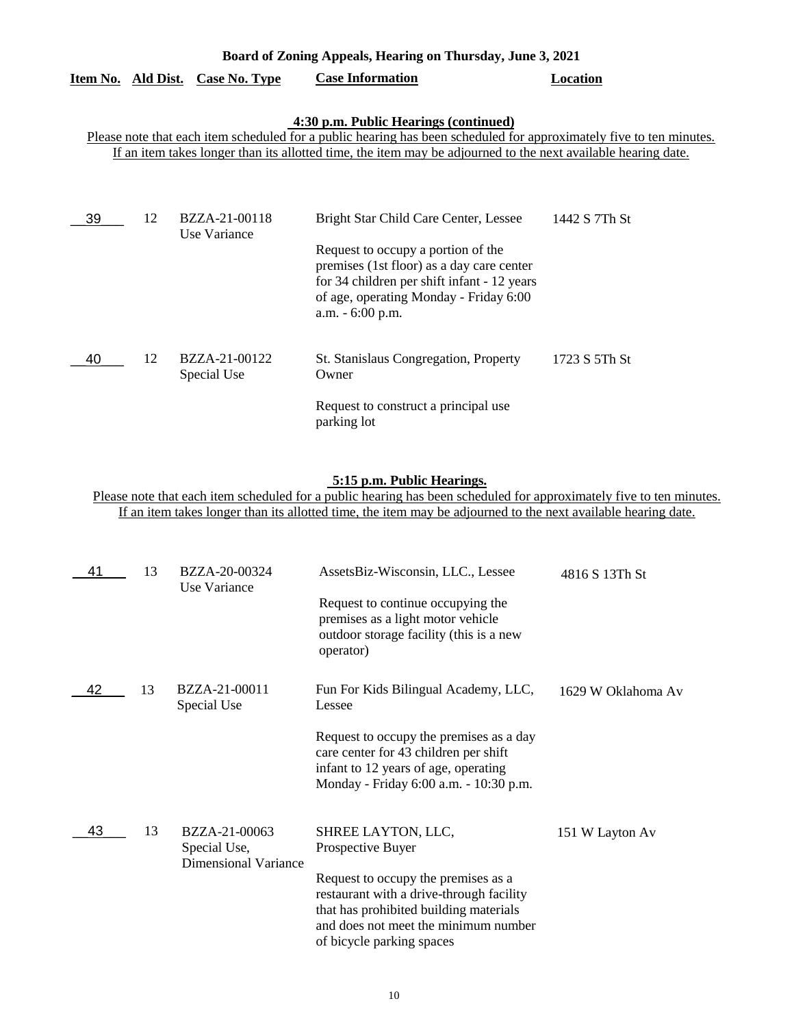|                                                                                                                                                              |    | Item No. Ald Dist. Case No. Type | <b>Case Information</b>                                                                                                                                                                      | Location      |  |  |  |
|--------------------------------------------------------------------------------------------------------------------------------------------------------------|----|----------------------------------|----------------------------------------------------------------------------------------------------------------------------------------------------------------------------------------------|---------------|--|--|--|
| 4:30 p.m. Public Hearings (continued)<br>Please note that each item scheduled for a public hearing has been scheduled for approximately five to ten minutes. |    |                                  |                                                                                                                                                                                              |               |  |  |  |
|                                                                                                                                                              |    |                                  | If an item takes longer than its allotted time, the item may be adjourned to the next available hearing date.                                                                                |               |  |  |  |
| 39                                                                                                                                                           | 12 | BZZA-21-00118<br>Use Variance    | Bright Star Child Care Center, Lessee                                                                                                                                                        | 1442 S 7Th St |  |  |  |
|                                                                                                                                                              |    |                                  | Request to occupy a portion of the<br>premises (1st floor) as a day care center<br>for 34 children per shift infant - 12 years<br>of age, operating Monday - Friday 6:00<br>a.m. - 6:00 p.m. |               |  |  |  |
| 40                                                                                                                                                           | 12 | BZZA-21-00122<br>Special Use     | St. Stanislaus Congregation, Property<br>Owner                                                                                                                                               | 1723 S 5Th St |  |  |  |
|                                                                                                                                                              |    |                                  | Request to construct a principal use<br>parking lot                                                                                                                                          |               |  |  |  |

**Board of Zoning Appeals, Hearing on Thursday, June 3, 2021** 

#### **5:15 p.m. Public Hearings.**

| 41 | 13 | BZZA-20-00324<br>Use Variance                                | AssetsBiz-Wisconsin, LLC., Lessee                                                                                                                                                              | 4816 S 13Th St     |
|----|----|--------------------------------------------------------------|------------------------------------------------------------------------------------------------------------------------------------------------------------------------------------------------|--------------------|
|    |    |                                                              | Request to continue occupying the<br>premises as a light motor vehicle<br>outdoor storage facility (this is a new<br>operator)                                                                 |                    |
| 42 | 13 | BZZA-21-00011<br>Special Use                                 | Fun For Kids Bilingual Academy, LLC,<br>Lessee                                                                                                                                                 | 1629 W Oklahoma Av |
|    |    |                                                              | Request to occupy the premises as a day<br>care center for 43 children per shift<br>infant to 12 years of age, operating<br>Monday - Friday 6:00 a.m. - 10:30 p.m.                             |                    |
| 43 | 13 | BZZA-21-00063<br>Special Use,<br><b>Dimensional Variance</b> | SHREE LAYTON, LLC,<br>Prospective Buyer                                                                                                                                                        | 151 W Layton Av    |
|    |    |                                                              | Request to occupy the premises as a<br>restaurant with a drive-through facility<br>that has prohibited building materials<br>and does not meet the minimum number<br>of bicycle parking spaces |                    |